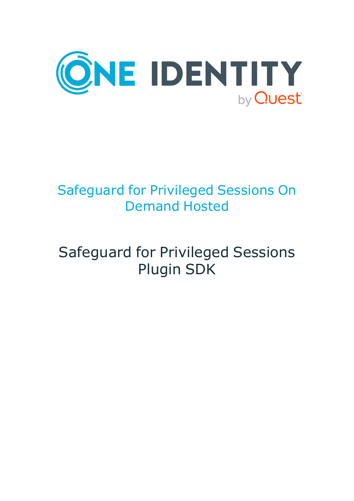

## Safeguard for Privileged Sessions On Demand Hosted

# Safeguard for Privileged Sessions Plugin SDK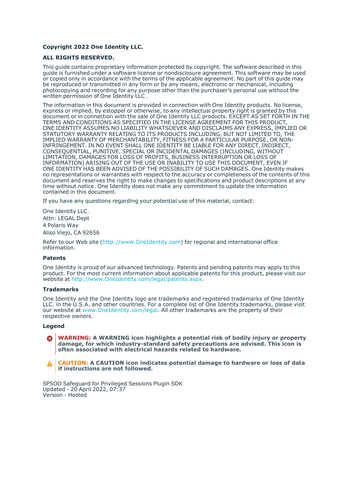#### **Copyright 2022 One Identity LLC.**

#### **ALL RIGHTS RESERVED.**

This guide contains proprietary information protected by copyright. The software described in this guide is furnished under a software license or nondisclosure agreement. This software may be used or copied only in accordance with the terms of the applicable agreement. No part of this guide may be reproduced or transmitted in any form or by any means, electronic or mechanical, including photocopying and recording for any purpose other than the purchaser's personal use without the written permission of One Identity LLC .

The information in this document is provided in connection with One Identity products. No license, express or implied, by estoppel or otherwise, to any intellectual property right is granted by this document or in connection with the sale of One Identity LLC products. EXCEPT AS SET FORTH IN THE TERMS AND CONDITIONS AS SPECIFIED IN THE LICENSE AGREEMENT FOR THIS PRODUCT, ONE IDENTITY ASSUMES NO LIABILITY WHATSOEVER AND DISCLAIMS ANY EXPRESS, IMPLIED OR STATUTORY WARRANTY RELATING TO ITS PRODUCTS INCLUDING, BUT NOT LIMITED TO, THE IMPLIED WARRANTY OF MERCHANTABILITY, FITNESS FOR A PARTICULAR PURPOSE, OR NON-INFRINGEMENT. IN NO EVENT SHALL ONE IDENTITY BE LIABLE FOR ANY DIRECT, INDIRECT, CONSEQUENTIAL, PUNITIVE, SPECIAL OR INCIDENTAL DAMAGES (INCLUDING, WITHOUT LIMITATION, DAMAGES FOR LOSS OF PROFITS, BUSINESS INTERRUPTION OR LOSS OF INFORMATION) ARISING OUT OF THE USE OR INABILITY TO USE THIS DOCUMENT, EVEN IF ONE IDENTITY HAS BEEN ADVISED OF THE POSSIBILITY OF SUCH DAMAGES. One Identity makes no representations or warranties with respect to the accuracy or completeness of the contents of this document and reserves the right to make changes to specifications and product descriptions at any time without notice. One Identity does not make any commitment to update the information contained in this document.

If you have any questions regarding your potential use of this material, contact:

One Identity LLC. Attn: LEGAL Dept 4 Polaris Way Aliso Viejo, CA 92656

Refer to our Web site [\(http://www.OneIdentity.com](http://www.oneidentity.com/)) for regional and international office information.

#### **Patents**

One Identity is proud of our advanced technology. Patents and pending patents may apply to this product. For the most current information about applicable patents for this product, please visit our website at [http://www.OneIdentity.com/legal/patents.aspx.](http://www.oneidentity.com/legal/patents.aspx)

#### **Trademarks**

One Identity and the One Identity logo are trademarks and registered trademarks of One Identity LLC. in the U.S.A. and other countries. For a complete list of One Identity trademarks, please visit our website at [www.OneIdentity.com/legal](http://www.oneidentity.com/legal). All other trademarks are the property of their respective owners.

#### **Legend**

**WARNING: A WARNING icon highlights a potential risk of bodily injury or property** œ **damage, for which industry-standard safety precautions are advised. This icon is often associated with electrical hazards related to hardware.**

**CAUTION: A CAUTION icon indicates potential damage to hardware or loss of data if instructions are not followed.**

SPSOD Safeguard for Privileged Sessions Plugin SDK Updated - 20 April 2022, 07:37 Version - Hosted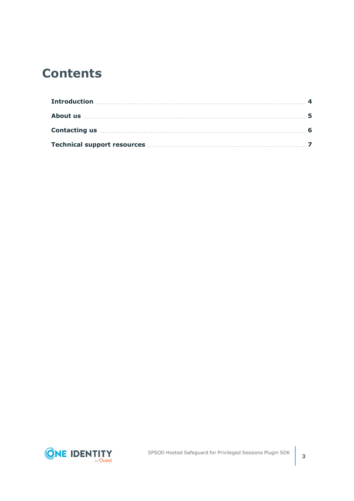### **Contents**

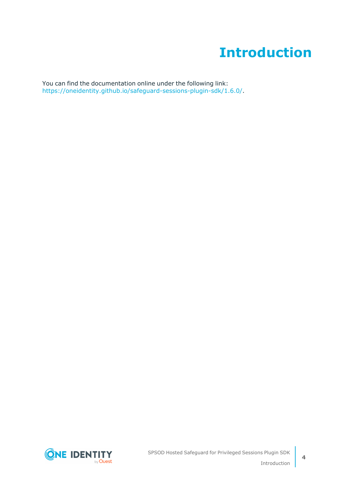### **Introduction**

<span id="page-3-0"></span>You can find the documentation online under the following link: [https://oneidentity.github.io/safeguard-sessions-plugin-sdk/1.6.0/.](https://oneidentity.github.io/safeguard-sessions-plugin-sdk/1.6.0/)

**ONE IDENTITY** by **Quest**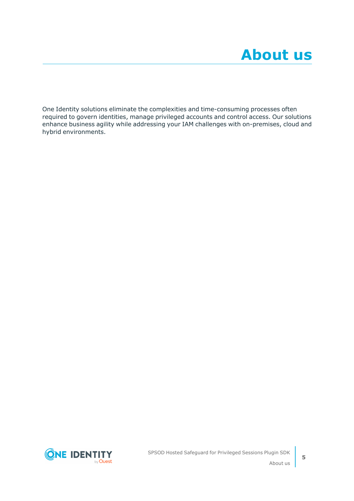<span id="page-4-0"></span>One Identity solutions eliminate the complexities and time-consuming processes often required to govern identities, manage privileged accounts and control access. Our solutions enhance business agility while addressing your IAM challenges with on-premises, cloud and hybrid environments.

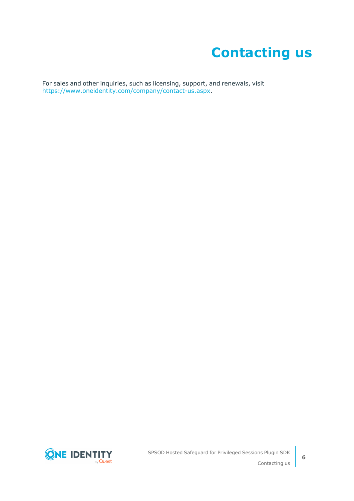### **Contacting us**

<span id="page-5-0"></span>For sales and other inquiries, such as licensing, support, and renewals, visit [https://www.oneidentity.com/company/contact-us.aspx.](https://www.oneidentity.com/company/contact-us.aspx)

**ONE IDENTITY** by **Quest**